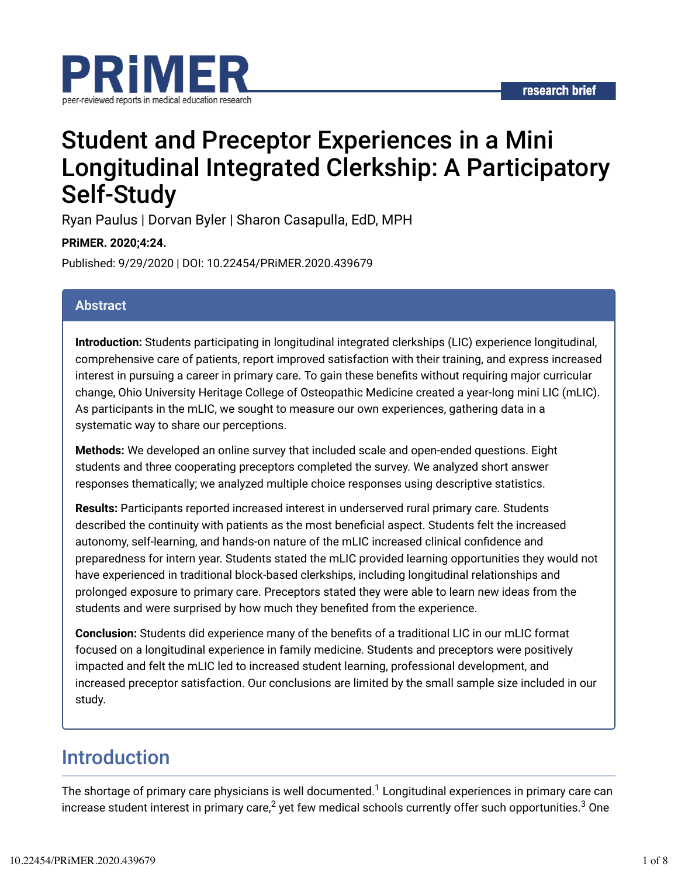

## Student and Preceptor Experiences in a Mini Longitudinal Integrated Clerkship: A Participatory Self-Study

Ryan Paulus | Dorvan Byler | Sharon Casapulla, EdD, MPH

**PRiMER. 2020;4:24.**

Published: 9/29/2020 | DOI: 10.22454/PRiMER.2020.439679

#### **Abstract**

**Introduction:** Students participating in longitudinal integrated clerkships (LIC) experience longitudinal, comprehensive care of patients, report improved satisfaction with their training, and express increased interest in pursuing a career in primary care. To gain these benefits without requiring major curricular change, Ohio University Heritage College of Osteopathic Medicine created a year-long mini LIC (mLIC). As participants in the mLIC, we sought to measure our own experiences, gathering data in a systematic way to share our perceptions.

**Methods:** We developed an online survey that included scale and open-ended questions. Eight students and three cooperating preceptors completed the survey. We analyzed short answer responses thematically; we analyzed multiple choice responses using descriptive statistics.

**Results:** Participants reported increased interest in underserved rural primary care. Students described the continuity with patients as the most beneficial aspect. Students felt the increased autonomy, self-learning, and hands-on nature of the mLIC increased clinical confidence and preparedness for intern year. Students stated the mLIC provided learning opportunities they would not have experienced in traditional block-based clerkships, including longitudinal relationships and prolonged exposure to primary care. Preceptors stated they were able to learn new ideas from the students and were surprised by how much they benefited from the experience.

**Conclusion:** Students did experience many of the benefits of a traditional LIC in our mLIC format focused on a longitudinal experience in family medicine. Students and preceptors were positively impacted and felt the mLIC led to increased student learning, professional development, and increased preceptor satisfaction. Our conclusions are limited by the small sample size included in our study.

## Introduction

The shortage of primary care physicians is well documented. ${}^{1}$  Longitudinal experiences in primary care can increase student interest in primary care, $^2$  yet few medical schools currently offer such opportunities. $^3$  One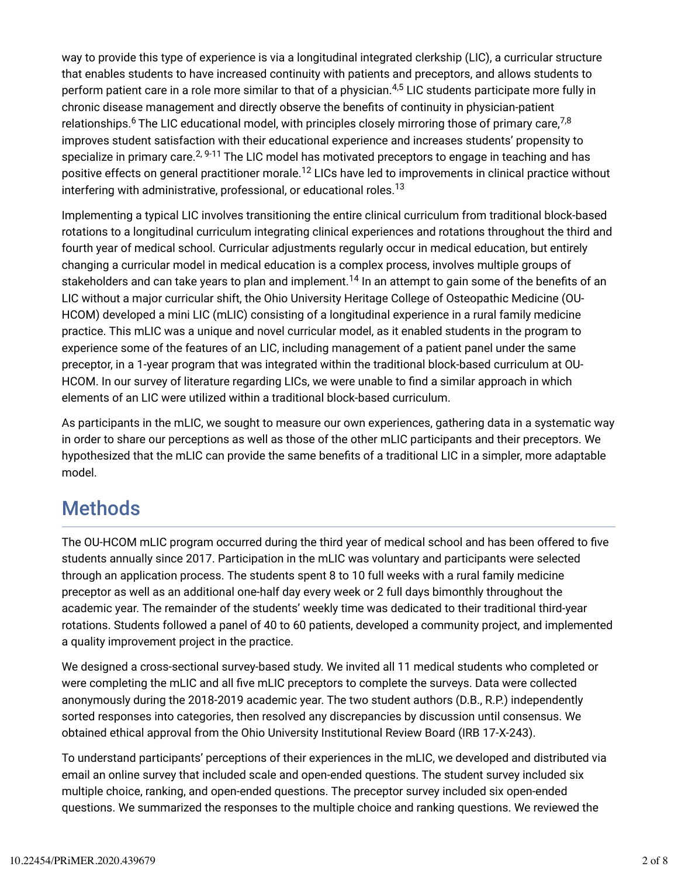way to provide this type of experience is via a longitudinal integrated clerkship (LIC), a curricular structure that enables students to have increased continuity with patients and preceptors, and allows students to perform patient care in a role more similar to that of a physician.<sup>4,5</sup> LIC students participate more fully in chronic disease management and directly observe the benefits of continuity in physician-patient relationships. $^6$  The LIC educational model, with principles closely mirroring those of primary care, $^{7,8}$ improves student satisfaction with their educational experience and increases students' propensity to specialize in primary care. $^{2,9\text{-}11}$  The LIC model has motivated preceptors to engage in teaching and has positive effects on general practitioner morale.<sup>12</sup> LICs have led to improvements in clinical practice without interfering with administrative, professional, or educational roles.<sup>13</sup>

Implementing a typical LIC involves transitioning the entire clinical curriculum from traditional block-based rotations to a longitudinal curriculum integrating clinical experiences and rotations throughout the third and fourth year of medical school. Curricular adjustments regularly occur in medical education, but entirely changing a curricular model in medical education is a complex process, involves multiple groups of stakeholders and can take years to plan and implement. $^{14}$  In an attempt to gain some of the benefits of an LIC without a major curricular shift, the Ohio University Heritage College of Osteopathic Medicine (OU-HCOM) developed a mini LIC (mLIC) consisting of a longitudinal experience in a rural family medicine practice. This mLIC was a unique and novel curricular model, as it enabled students in the program to experience some of the features of an LIC, including management of a patient panel under the same preceptor, in a 1-year program that was integrated within the traditional block-based curriculum at OU-HCOM. In our survey of literature regarding LICs, we were unable to find a similar approach in which elements of an LIC were utilized within a traditional block-based curriculum.

As participants in the mLIC, we sought to measure our own experiences, gathering data in a systematic way in order to share our perceptions as well as those of the other mLIC participants and their preceptors. We hypothesized that the mLIC can provide the same benefits of a traditional LIC in a simpler, more adaptable model.

## **Methods**

The OU-HCOM mLIC program occurred during the third year of medical school and has been offered to five students annually since 2017. Participation in the mLIC was voluntary and participants were selected through an application process. The students spent 8 to 10 full weeks with a rural family medicine preceptor as well as an additional one-half day every week or 2 full days bimonthly throughout the academic year. The remainder of the students' weekly time was dedicated to their traditional third-year rotations. Students followed a panel of 40 to 60 patients, developed a community project, and implemented a quality improvement project in the practice.

We designed a cross-sectional survey-based study. We invited all 11 medical students who completed or were completing the mLIC and all five mLIC preceptors to complete the surveys. Data were collected anonymously during the 2018-2019 academic year. The two student authors (D.B., R.P.) independently sorted responses into categories, then resolved any discrepancies by discussion until consensus. We obtained ethical approval from the Ohio University Institutional Review Board (IRB 17-X-243).

To understand participants' perceptions of their experiences in the mLIC, we developed and distributed via email an online survey that included scale and open-ended questions. The student survey included six multiple choice, ranking, and open-ended questions. The preceptor survey included six open-ended questions. We summarized the responses to the multiple choice and ranking questions. We reviewed the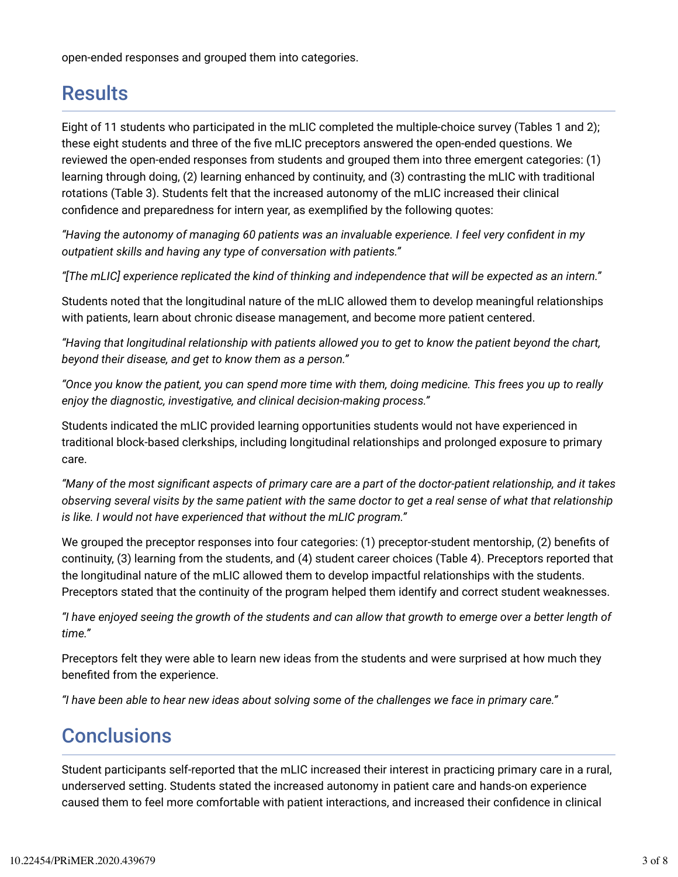open-ended responses and grouped them into categories.

## **Results**

Eight of 11 students who participated in the mLIC completed the multiple-choice survey (Tables 1 and 2); these eight students and three of the five mLIC preceptors answered the open-ended questions. We reviewed the open-ended responses from students and grouped them into three emergent categories: (1) learning through doing, (2) learning enhanced by continuity, and (3) contrasting the mLIC with traditional rotations (Table 3). Students felt that the increased autonomy of the mLIC increased their clinical confidence and preparedness for intern year, as exemplified by the following quotes:

*"Having the autonomy of managing 60 patients was an invaluable experience. I feel very confident in my outpatient skills and having any type of conversation with patients."*

*"[The mLIC] experience replicated the kind of thinking and independence that will be expected as an intern."*

Students noted that the longitudinal nature of the mLIC allowed them to develop meaningful relationships with patients, learn about chronic disease management, and become more patient centered.

*"Having that longitudinal relationship with patients allowed you to get to know the patient beyond the chart, beyond their disease, and get to know them as a person."*

*"Once you know the patient, you can spend more time with them, doing medicine. This frees you up to really enjoy the diagnostic, investigative, and clinical decision-making process."*

Students indicated the mLIC provided learning opportunities students would not have experienced in traditional block-based clerkships, including longitudinal relationships and prolonged exposure to primary care.

"Many of the most significant aspects of primary care are a part of the doctor-patient relationship, and it takes *observing several visits by the same patient with the same doctor to get a real sense of what that relationship is like. I would not have experienced that without the mLIC program."*

We grouped the preceptor responses into four categories: (1) preceptor-student mentorship, (2) benefits of continuity, (3) learning from the students, and (4) student career choices (Table 4). Preceptors reported that the longitudinal nature of the mLIC allowed them to develop impactful relationships with the students. Preceptors stated that the continuity of the program helped them identify and correct student weaknesses.

*"I have enjoyed seeing the growth of the students and can allow that growth to emerge over a better length of time."*

Preceptors felt they were able to learn new ideas from the students and were surprised at how much they benefited from the experience.

*"I have been able to hear new ideas about solving some of the challenges we face in primary care."*

### **Conclusions**

Student participants self-reported that the mLIC increased their interest in practicing primary care in a rural, underserved setting. Students stated the increased autonomy in patient care and hands-on experience caused them to feel more comfortable with patient interactions, and increased their confidence in clinical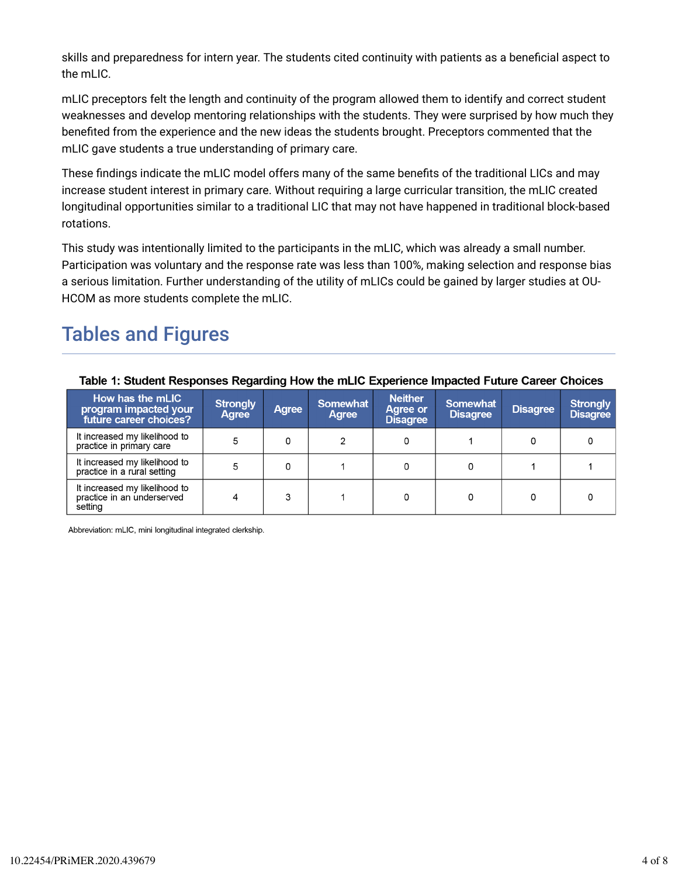skills and preparedness for intern year. The students cited continuity with patients as a beneficial aspect to the mLIC.

mLIC preceptors felt the length and continuity of the program allowed them to identify and correct student weaknesses and develop mentoring relationships with the students. They were surprised by how much they benefited from the experience and the new ideas the students brought. Preceptors commented that the mLIC gave students a true understanding of primary care.

These findings indicate the mLIC model offers many of the same benefits of the traditional LICs and may increase student interest in primary care. Without requiring a large curricular transition, the mLIC created longitudinal opportunities similar to a traditional LIC that may not have happened in traditional block-based rotations.

This study was intentionally limited to the participants in the mLIC, which was already a small number. Participation was voluntary and the response rate was less than 100%, making selection and response bias a serious limitation. Further understanding of the utility of mLICs could be gained by larger studies at OU-HCOM as more students complete the mLIC.

## Tables and Figures

| Table 1: Student Responses Regarding How the mLIC Experience Impacted Future Career Choices |                          |              |                          |                                                      |                             |                 |                                    |
|---------------------------------------------------------------------------------------------|--------------------------|--------------|--------------------------|------------------------------------------------------|-----------------------------|-----------------|------------------------------------|
| How has the mLIC<br>program impacted your<br>future career choices?                         | <b>Strongly</b><br>Agree | <b>Agree</b> | <b>Somewhat</b><br>Agree | <b>Neither</b><br><b>Agree or</b><br><b>Disagree</b> | Somewhat<br><b>Disagree</b> | <b>Disagree</b> | <b>Strongly</b><br><b>Disagree</b> |
| It increased my likelihood to<br>practice in primary care                                   |                          | 0            |                          |                                                      |                             |                 |                                    |
| It increased my likelihood to<br>practice in a rural setting                                | 5                        | 0            |                          |                                                      |                             |                 |                                    |
| It increased my likelihood to<br>practice in an underserved<br>setting                      |                          | 3            |                          |                                                      |                             |                 |                                    |

Abbreviation: mLIC, mini longitudinal integrated clerkship.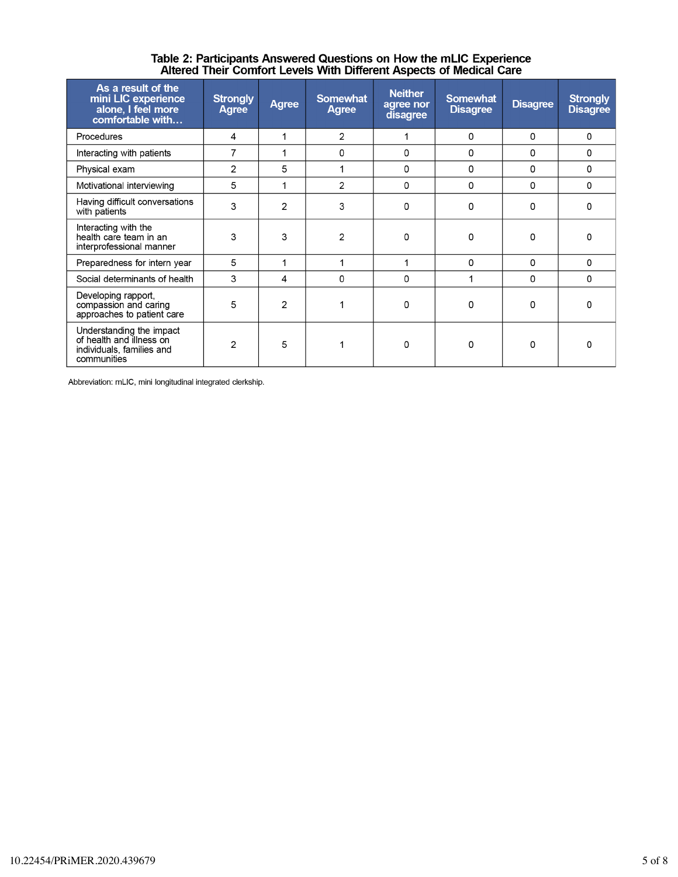| As a result of the<br>mini LIC experience<br>alone, I feel more<br>comfortable with                                                                                                                   | <b>Strongly</b><br><b>Agree</b>      | <b>Agree</b>   | <b>Somewhat</b><br>Agree | <b>Neither</b><br>agree nor<br>disagree | <b>Somewhat</b><br><b>Disagree</b> | <b>Disagree</b> | <b>Strongly</b><br><b>Disagree</b> |
|-------------------------------------------------------------------------------------------------------------------------------------------------------------------------------------------------------|--------------------------------------|----------------|--------------------------|-----------------------------------------|------------------------------------|-----------------|------------------------------------|
| Procedures                                                                                                                                                                                            | 4                                    |                | 2                        |                                         | 0                                  | 0               | 0                                  |
| Interacting with patients                                                                                                                                                                             | 7                                    | 1              | 0                        | 0                                       | 0                                  | $\Omega$        | 0                                  |
| Physical exam                                                                                                                                                                                         | $\overline{2}$                       | 5              |                          | 0                                       | 0                                  | $\Omega$        | $\Omega$                           |
| Motivational interviewing                                                                                                                                                                             | 5<br>3<br>2<br>3<br>3<br>5<br>3<br>4 |                | $\mathfrak{p}$           | 0                                       | 0                                  | 0               | 0                                  |
| Having difficult conversations<br>with patients                                                                                                                                                       |                                      |                | 3                        | 0                                       | $\Omega$                           | $\Omega$        | O                                  |
| Interacting with the<br>health care team in an<br>interprofessional manner                                                                                                                            |                                      |                | 2                        | $\Omega$                                | $\Omega$                           | $\Omega$        | n                                  |
| Preparedness for intern year                                                                                                                                                                          |                                      |                |                          |                                         | 0                                  | 0               | 0                                  |
| Social determinants of health                                                                                                                                                                         |                                      |                | 0                        | 0                                       |                                    | 0               | 0                                  |
| Developing rapport,<br>5<br>compassion and caring<br>approaches to patient care<br>Understanding the impact<br>of health and illness on<br>$\overline{2}$<br>individuals, families and<br>communities |                                      | $\overline{2}$ |                          | 0                                       | O                                  | 0               | n                                  |
|                                                                                                                                                                                                       |                                      | 5              |                          | 0                                       | 0                                  | $\Omega$        | n                                  |

# Table 2: Participants Answered Questions on How the mLIC Experience<br>Altered Their Comfort Levels With Different Aspects of Medical Care

Abbreviation: mLIC, mini longitudinal integrated clerkship.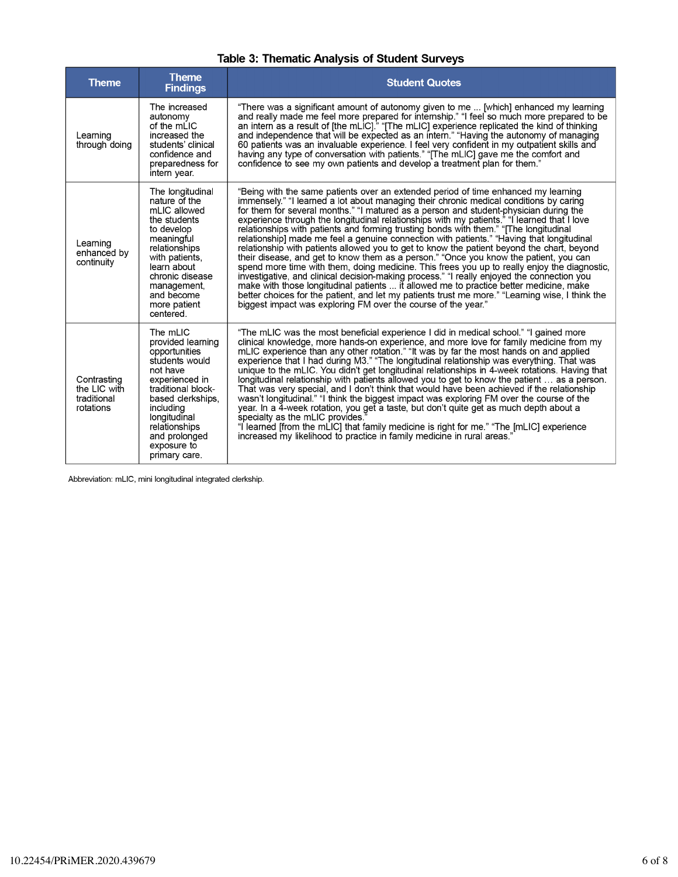| <b>Table 3: Thematic Analysis of Student Surveys</b> |  |  |  |  |
|------------------------------------------------------|--|--|--|--|
|------------------------------------------------------|--|--|--|--|

| <b>Theme</b>                                            | <b>Theme</b><br><b>Findings</b>                                                                                                                                                                                                          | <b>Student Quotes</b>                                                                                                                                                                                                                                                                                                                                                                                                                                                                                                                                                                                                                                                                                                                                                                                                                                                                                                                                                                                                                                                                                                                                                                                         |
|---------------------------------------------------------|------------------------------------------------------------------------------------------------------------------------------------------------------------------------------------------------------------------------------------------|---------------------------------------------------------------------------------------------------------------------------------------------------------------------------------------------------------------------------------------------------------------------------------------------------------------------------------------------------------------------------------------------------------------------------------------------------------------------------------------------------------------------------------------------------------------------------------------------------------------------------------------------------------------------------------------------------------------------------------------------------------------------------------------------------------------------------------------------------------------------------------------------------------------------------------------------------------------------------------------------------------------------------------------------------------------------------------------------------------------------------------------------------------------------------------------------------------------|
| Learning<br>through doing                               | The increased<br>autonomy<br>of the mLIC<br>increased the<br>students' clinical<br>confidence and<br>preparedness for<br>intern year.                                                                                                    | "There was a significant amount of autonomy given to me  [which] enhanced my learning<br>and really made me feel more prepared for internship." "I feel so much more prepared to be<br>an intern as a result of [the mLIC]." "[The mLIC] experience replicated the kind of thinking<br>and independence that will be expected as an intern." "Having the autonomy of managing<br>60 patients was an invaluable experience. I feel very confident in my outpatient skills and<br>having any type of conversation with patients." "[The mLIC] gave me the comfort and<br>confidence to see my own patients and develop a treatment plan for them."                                                                                                                                                                                                                                                                                                                                                                                                                                                                                                                                                              |
| Learning<br>enhanced by<br>continuity                   | The longitudinal<br>nature of the<br>mLIC allowed<br>the students<br>to develop<br>meaningful<br>relationships<br>with patients,<br>learn about<br>chronic disease<br>management,<br>and become<br>more patient<br>centered.             | "Being with the same patients over an extended period of time enhanced my learning<br>immensely." "I learned a lot about managing their chronic medical conditions by caring<br>for them for several months." "I matured as a person and student-physician during the<br>experience through the longitudinal relationships with my patients." "I learned that I love<br>relationships with patients and forming trusting bonds with them." "[The longitudinal<br>relationship] made me feel a genuine connection with patients." "Having that longitudinal<br>relationship with patients allowed you to get to know the patient beyond the chart, beyond<br>their disease, and get to know them as a person." "Once you know the patient, you can<br>spend more time with them, doing medicine. This frees you up to really enjoy the diagnostic,<br>investigative, and clinical decision-making process." "I really enjoyed the connection you<br>make with those longitudinal patients  it allowed me to practice better medicine, make<br>better choices for the patient, and let my patients trust me more." "Learning wise, I think the<br>biggest impact was exploring FM over the course of the year." |
| Contrasting<br>the LIC with<br>traditional<br>rotations | The mLIC<br>provided learning<br>opportunities<br>students would<br>not have<br>experienced in<br>traditional block-<br>based clerkships.<br>including<br>longitudinal<br>relationships<br>and prolonged<br>exposure to<br>primary care. | "The mLIC was the most beneficial experience I did in medical school." "I gained more<br>clinical knowledge, more hands-on experience, and more love for family medicine from my<br>mLIC experience than any other rotation." "It was by far the most hands on and applied<br>experience that I had during M3." "The longitudinal relationship was everything. That was<br>unique to the mLIC. You didn't get longitudinal relationships in 4-week rotations. Having that<br>longitudinal relationship with patients allowed you to get to know the patient  as a person.<br>That was very special, and I don't think that would have been achieved if the relationship<br>wasn't longitudinal." "I think the biggest impact was exploring FM over the course of the<br>year. In a 4-week rotation, you get a taste, but don't quite get as much depth about a<br>specialty as the mLIC provides.<br>"I learned [from the mLIC] that family medicine is right for me." "The [mLIC] experience<br>increased my likelihood to practice in family medicine in rural areas."                                                                                                                                      |

Abbreviation: mLIC, mini longitudinal integrated clerkship.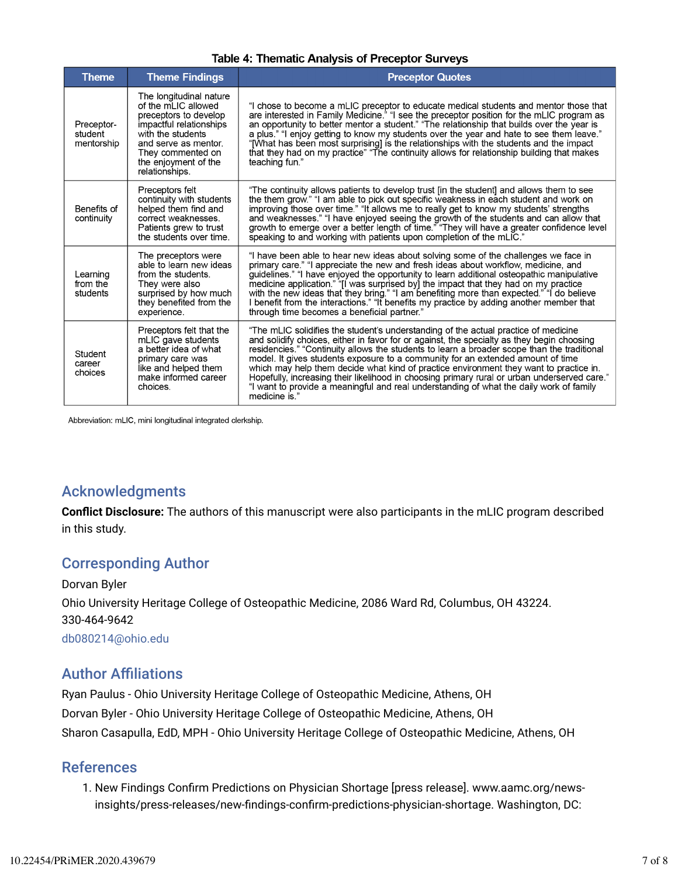|  | <b>Theme</b>                        | <b>Theme Findings</b>                                                                                                                                                                                          | <b>Preceptor Quotes</b>                                                                                                                                                                                                                                                                                                                                                                                                                                                                                                                                                                                                                                                   |
|--|-------------------------------------|----------------------------------------------------------------------------------------------------------------------------------------------------------------------------------------------------------------|---------------------------------------------------------------------------------------------------------------------------------------------------------------------------------------------------------------------------------------------------------------------------------------------------------------------------------------------------------------------------------------------------------------------------------------------------------------------------------------------------------------------------------------------------------------------------------------------------------------------------------------------------------------------------|
|  | Preceptor-<br>student<br>mentorship | The longitudinal nature<br>of the mLIC allowed<br>preceptors to develop<br>impactful relationships<br>with the students<br>and serve as mentor.<br>They commented on<br>the enjoyment of the<br>relationships. | "I chose to become a mLIC preceptor to educate medical students and mentor those that<br>are interested in Family Medicine." "I see the preceptor position for the mLIC program as<br>an opportunity to better mentor a student." "The relationship that builds over the year is<br>a plus." "I enjoy getting to know my students over the year and hate to see them leave."<br>"[What has been most surprising] is the relationships with the students and the impact<br>that they had on my practice" "The continuity allows for relationship building that makes<br>teaching fun."                                                                                     |
|  | Benefits of<br>continuity           | Preceptors felt<br>continuity with students<br>helped them find and<br>correct weaknesses.<br>Patients grew to trust<br>the students over time.                                                                | "The continuity allows patients to develop trust [in the student] and allows them to see<br>the them grow." "I am able to pick out specific weakness in each student and work on<br>improving those over time." "It allows me to really get to know my students' strengths<br>and weaknesses." "I have enjoyed seeing the growth of the students and can allow that<br>growth to emerge over a better length of time." "They will have a greater confidence level<br>speaking to and working with patients upon completion of the mLIC."                                                                                                                                  |
|  | Learning<br>from the<br>students    | The preceptors were<br>able to learn new ideas<br>from the students.<br>They were also<br>surprised by how much<br>they benefited from the<br>experience.                                                      | "I have been able to hear new ideas about solving some of the challenges we face in<br>primary care." "I appreciate the new and fresh ideas about workflow, medicine, and<br>guidelines." "I have enjoyed the opportunity to learn additional osteopathic manipulative<br>medicine application." "I was surprised by] the impact that they had on my practice<br>with the new ideas that they bring." "I am benefiting more than expected." "I do believe<br>I benefit from the interactions." "It benefits my practice by adding another member that<br>through time becomes a beneficial partner."                                                                      |
|  | Student<br>career<br>choices        | Preceptors felt that the<br>mLIC gave students<br>a better idea of what<br>primary care was<br>like and helped them<br>make informed career<br>choices.                                                        | "The mLIC solidifies the student's understanding of the actual practice of medicine<br>and solidify choices, either in favor for or against, the specialty as they begin choosing<br>residencies." "Continuity allows the students to learn a broader scope than the traditional<br>model. It gives students exposure to a community for an extended amount of time<br>which may help them decide what kind of practice environment they want to practice in.<br>Hopefully, increasing their likelihood in choosing primary rural or urban underserved care."<br>"I want to provide a meaningful and real understanding of what the daily work of family<br>medicine is." |

#### **Table 4: Thematic Analysis of Preceptor Surveys**

Abbreviation: mLIC, mini longitudinal integrated clerkship.

### Acknowledgments

**Conflict Disclosure:** The authors of this manuscript were also participants in the mLIC program described in this study.

### Corresponding Author

Dorvan Byler Ohio University Heritage College of Osteopathic Medicine, 2086 Ward Rd, Columbus, OH 43224. 330-464-9642 db080214@ohio.edu

### **Author Affiliations**

Ryan Paulus - Ohio University Heritage College of Osteopathic Medicine, Athens, OH Dorvan Byler - Ohio University Heritage College of Osteopathic Medicine, Athens, OH Sharon Casapulla, EdD, MPH - Ohio University Heritage College of Osteopathic Medicine, Athens, OH

### References

1. New Findings Confirm Predictions on Physician Shortage [press release]. www.aamc.org/newsinsights/press-releases/new-findings-confirm-predictions-physician-shortage. Washington, DC: